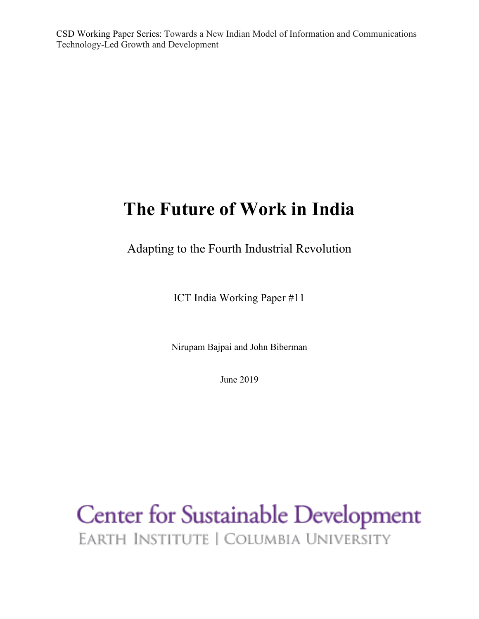CSD Working Paper Series: Towards a New Indian Model of Information and Communications Technology-Led Growth and Development

# **The Future of Work in India**

Adapting to the Fourth Industrial Revolution

ICT India Working Paper #11

Nirupam Bajpai and John Biberman

June 2019

**Center for Sustainable Development** EARTH INSTITUTE | COLUMBIA UNIVERSITY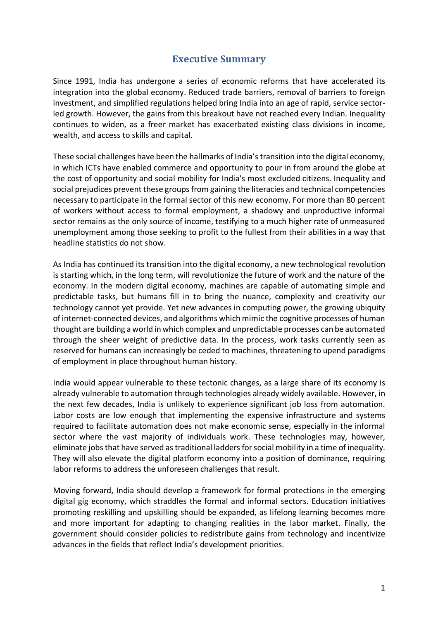### **Executive Summary**

Since 1991, India has undergone a series of economic reforms that have accelerated its integration into the global economy. Reduced trade barriers, removal of barriers to foreign investment, and simplified regulations helped bring India into an age of rapid, service sectorled growth. However, the gains from this breakout have not reached every Indian. Inequality continues to widen, as a freer market has exacerbated existing class divisions in income, wealth, and access to skills and capital.

These social challenges have been the hallmarks of India's transition into the digital economy, in which ICTs have enabled commerce and opportunity to pour in from around the globe at the cost of opportunity and social mobility for India's most excluded citizens. Inequality and social prejudices prevent these groups from gaining the literacies and technical competencies necessary to participate in the formal sector of this new economy. For more than 80 percent of workers without access to formal employment, a shadowy and unproductive informal sector remains as the only source of income, testifying to a much higher rate of unmeasured unemployment among those seeking to profit to the fullest from their abilities in a way that headline statistics do not show.

As India has continued its transition into the digital economy, a new technological revolution is starting which, in the long term, will revolutionize the future of work and the nature of the economy. In the modern digital economy, machines are capable of automating simple and predictable tasks, but humans fill in to bring the nuance, complexity and creativity our technology cannot yet provide. Yet new advances in computing power, the growing ubiquity of internet-connected devices, and algorithms which mimic the cognitive processes of human thought are building a world in which complex and unpredictable processes can be automated through the sheer weight of predictive data. In the process, work tasks currently seen as reserved for humans can increasingly be ceded to machines, threatening to upend paradigms of employment in place throughout human history.

India would appear vulnerable to these tectonic changes, as a large share of its economy is already vulnerable to automation through technologies already widely available. However, in the next few decades, India is unlikely to experience significant job loss from automation. Labor costs are low enough that implementing the expensive infrastructure and systems required to facilitate automation does not make economic sense, especially in the informal sector where the vast majority of individuals work. These technologies may, however, eliminate jobs that have served as traditional ladders for social mobility in a time of inequality. They will also elevate the digital platform economy into a position of dominance, requiring labor reforms to address the unforeseen challenges that result.

Moving forward, India should develop a framework for formal protections in the emerging digital gig economy, which straddles the formal and informal sectors. Education initiatives promoting reskilling and upskilling should be expanded, as lifelong learning becomes more and more important for adapting to changing realities in the labor market. Finally, the government should consider policies to redistribute gains from technology and incentivize advances in the fields that reflect India's development priorities.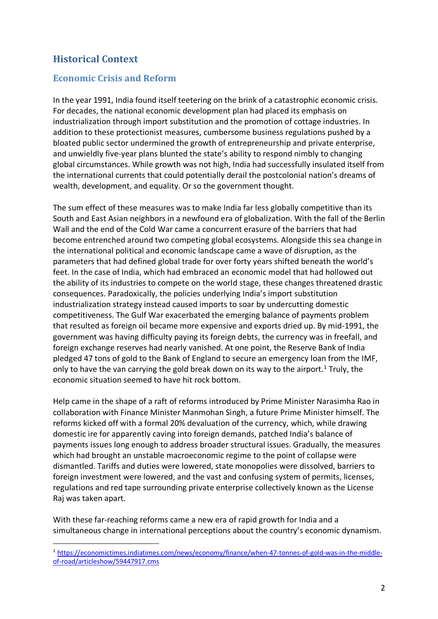## **Historical Context**

#### **Economic Crisis and Reform**

In the year 1991, India found itself teetering on the brink of a catastrophic economic crisis. For decades, the national economic development plan had placed its emphasis on industrialization through import substitution and the promotion of cottage industries. In addition to these protectionist measures, cumbersome business regulations pushed by a bloated public sector undermined the growth of entrepreneurship and private enterprise, and unwieldly five-year plans blunted the state's ability to respond nimbly to changing global circumstances. While growth was not high, India had successfully insulated itself from the international currents that could potentially derail the postcolonial nation's dreams of wealth, development, and equality. Or so the government thought.

The sum effect of these measures was to make India far less globally competitive than its South and East Asian neighbors in a newfound era of globalization. With the fall of the Berlin Wall and the end of the Cold War came a concurrent erasure of the barriers that had become entrenched around two competing global ecosystems. Alongside this sea change in the international political and economic landscape came a wave of disruption, as the parameters that had defined global trade for over forty years shifted beneath the world's feet. In the case of India, which had embraced an economic model that had hollowed out the ability of its industries to compete on the world stage, these changes threatened drastic consequences. Paradoxically, the policies underlying India's import substitution industrialization strategy instead caused imports to soar by undercutting domestic competitiveness. The Gulf War exacerbated the emerging balance of payments problem that resulted as foreign oil became more expensive and exports dried up. By mid-1991, the government was having difficulty paying its foreign debts, the currency was in freefall, and foreign exchange reserves had nearly vanished. At one point, the Reserve Bank of India pledged 47 tons of gold to the Bank of England to secure an emergency loan from the IMF, only to have the van carrying the gold break down on its way to the airport.<sup>1</sup> Truly, the economic situation seemed to have hit rock bottom.

Help came in the shape of a raft of reforms introduced by Prime Minister Narasimha Rao in collaboration with Finance Minister Manmohan Singh, a future Prime Minister himself. The reforms kicked off with a formal 20% devaluation of the currency, which, while drawing domestic ire for apparently caving into foreign demands, patched India's balance of payments issues long enough to address broader structural issues. Gradually, the measures which had brought an unstable macroeconomic regime to the point of collapse were dismantled. Tariffs and duties were lowered, state monopolies were dissolved, barriers to foreign investment were lowered, and the vast and confusing system of permits, licenses, regulations and red tape surrounding private enterprise collectively known as the License Raj was taken apart.

With these far-reaching reforms came a new era of rapid growth for India and a simultaneous change in international perceptions about the country's economic dynamism.

 <sup>1</sup> https://economictimes.indiatimes.com/news/economy/finance/when-47-tonnes-of-gold-was-in-the-middleof-road/articleshow/59447917.cms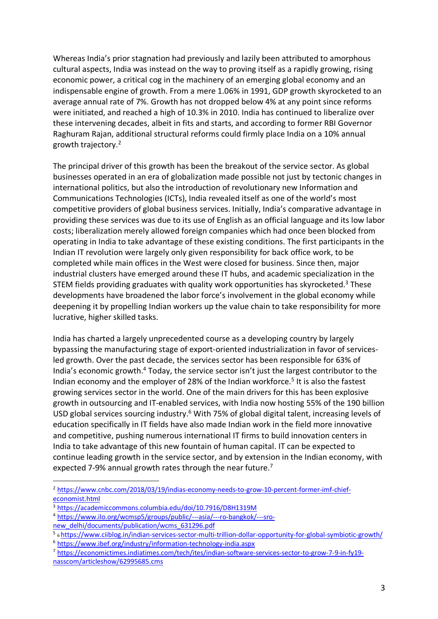Whereas India's prior stagnation had previously and lazily been attributed to amorphous cultural aspects, India was instead on the way to proving itself as a rapidly growing, rising economic power, a critical cog in the machinery of an emerging global economy and an indispensable engine of growth. From a mere 1.06% in 1991, GDP growth skyrocketed to an average annual rate of 7%. Growth has not dropped below 4% at any point since reforms were initiated, and reached a high of 10.3% in 2010. India has continued to liberalize over these intervening decades, albeit in fits and starts, and according to former RBI Governor Raghuram Rajan, additional structural reforms could firmly place India on a 10% annual growth trajectory.2

The principal driver of this growth has been the breakout of the service sector. As global businesses operated in an era of globalization made possible not just by tectonic changes in international politics, but also the introduction of revolutionary new Information and Communications Technologies (ICTs), India revealed itself as one of the world's most competitive providers of global business services. Initially, India's comparative advantage in providing these services was due to its use of English as an official language and its low labor costs; liberalization merely allowed foreign companies which had once been blocked from operating in India to take advantage of these existing conditions. The first participants in the Indian IT revolution were largely only given responsibility for back office work, to be completed while main offices in the West were closed for business. Since then, major industrial clusters have emerged around these IT hubs, and academic specialization in the STEM fields providing graduates with quality work opportunities has skyrocketed.<sup>3</sup> These developments have broadened the labor force's involvement in the global economy while deepening it by propelling Indian workers up the value chain to take responsibility for more lucrative, higher skilled tasks.

India has charted a largely unprecedented course as a developing country by largely bypassing the manufacturing stage of export-oriented industrialization in favor of servicesled growth. Over the past decade, the services sector has been responsible for 63% of India's economic growth.4 Today, the service sector isn't just the largest contributor to the Indian economy and the employer of 28% of the Indian workforce.<sup>5</sup> It is also the fastest growing services sector in the world. One of the main drivers for this has been explosive growth in outsourcing and IT-enabled services, with India now hosting 55% of the 190 billion USD global services sourcing industry.<sup>6</sup> With 75% of global digital talent, increasing levels of education specifically in IT fields have also made Indian work in the field more innovative and competitive, pushing numerous international IT firms to build innovation centers in India to take advantage of this new fountain of human capital. IT can be expected to continue leading growth in the service sector, and by extension in the Indian economy, with expected 7-9% annual growth rates through the near future.<sup>7</sup>

<sup>&</sup>lt;sup>2</sup> https://www.cnbc.com/2018/03/19/indias-economy-needs-to-grow-10-percent-former-imf-chief-economist.html

<sup>&</sup>lt;sup>3</sup> https://academiccommons.columbia.edu/doi/10.7916/D8H1319M

<sup>4</sup> https://www.ilo.org/wcmsp5/groups/public/---asia/---ro-bangkok/---sronew\_delhi/documents/publication/wcms\_631296.pdf

<sup>5</sup> 6 https://www.ciiblog.in/indian-services-sector-multi-trillion-dollar-opportunity-for-global-symbiotic-growth/

<sup>6</sup> https://www.ibef.org/industry/information-technology-india.aspx

<sup>7</sup> https://economictimes.indiatimes.com/tech/ites/indian-software-services-sector-to-grow-7-9-in-fy19 nasscom/articleshow/62995685.cms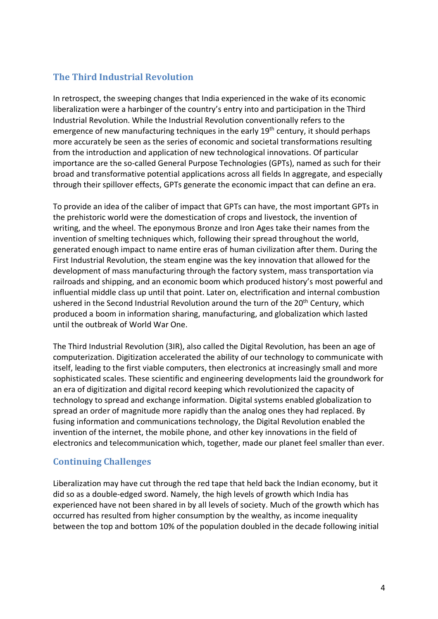#### **The Third Industrial Revolution**

In retrospect, the sweeping changes that India experienced in the wake of its economic liberalization were a harbinger of the country's entry into and participation in the Third Industrial Revolution. While the Industrial Revolution conventionally refers to the emergence of new manufacturing techniques in the early 19<sup>th</sup> century, it should perhaps more accurately be seen as the series of economic and societal transformations resulting from the introduction and application of new technological innovations. Of particular importance are the so-called General Purpose Technologies (GPTs), named as such for their broad and transformative potential applications across all fields In aggregate, and especially through their spillover effects, GPTs generate the economic impact that can define an era.

To provide an idea of the caliber of impact that GPTs can have, the most important GPTs in the prehistoric world were the domestication of crops and livestock, the invention of writing, and the wheel. The eponymous Bronze and Iron Ages take their names from the invention of smelting techniques which, following their spread throughout the world, generated enough impact to name entire eras of human civilization after them. During the First Industrial Revolution, the steam engine was the key innovation that allowed for the development of mass manufacturing through the factory system, mass transportation via railroads and shipping, and an economic boom which produced history's most powerful and influential middle class up until that point. Later on, electrification and internal combustion ushered in the Second Industrial Revolution around the turn of the 20<sup>th</sup> Century, which produced a boom in information sharing, manufacturing, and globalization which lasted until the outbreak of World War One.

The Third Industrial Revolution (3IR), also called the Digital Revolution, has been an age of computerization. Digitization accelerated the ability of our technology to communicate with itself, leading to the first viable computers, then electronics at increasingly small and more sophisticated scales. These scientific and engineering developments laid the groundwork for an era of digitization and digital record keeping which revolutionized the capacity of technology to spread and exchange information. Digital systems enabled globalization to spread an order of magnitude more rapidly than the analog ones they had replaced. By fusing information and communications technology, the Digital Revolution enabled the invention of the internet, the mobile phone, and other key innovations in the field of electronics and telecommunication which, together, made our planet feel smaller than ever.

#### **Continuing Challenges**

Liberalization may have cut through the red tape that held back the Indian economy, but it did so as a double-edged sword. Namely, the high levels of growth which India has experienced have not been shared in by all levels of society. Much of the growth which has occurred has resulted from higher consumption by the wealthy, as income inequality between the top and bottom 10% of the population doubled in the decade following initial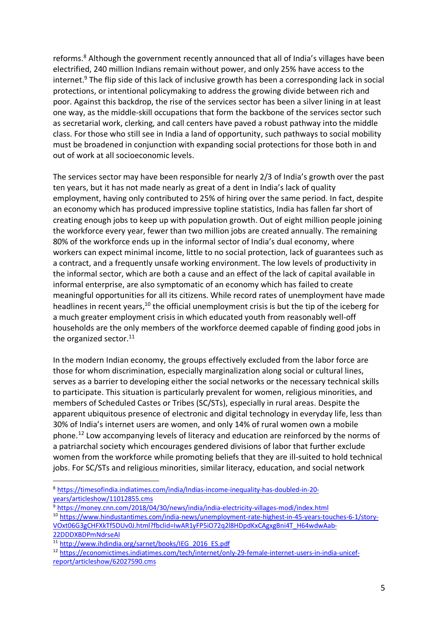reforms.<sup>8</sup> Although the government recently announced that all of India's villages have been electrified, 240 million Indians remain without power, and only 25% have access to the internet.<sup>9</sup> The flip side of this lack of inclusive growth has been a corresponding lack in social protections, or intentional policymaking to address the growing divide between rich and poor. Against this backdrop, the rise of the services sector has been a silver lining in at least one way, as the middle-skill occupations that form the backbone of the services sector such as secretarial work, clerking, and call centers have paved a robust pathway into the middle class. For those who still see in India a land of opportunity, such pathways to social mobility must be broadened in conjunction with expanding social protections for those both in and out of work at all socioeconomic levels.

The services sector may have been responsible for nearly 2/3 of India's growth over the past ten years, but it has not made nearly as great of a dent in India's lack of quality employment, having only contributed to 25% of hiring over the same period. In fact, despite an economy which has produced impressive topline statistics, India has fallen far short of creating enough jobs to keep up with population growth. Out of eight million people joining the workforce every year, fewer than two million jobs are created annually. The remaining 80% of the workforce ends up in the informal sector of India's dual economy, where workers can expect minimal income, little to no social protection, lack of guarantees such as a contract, and a frequently unsafe working environment. The low levels of productivity in the informal sector, which are both a cause and an effect of the lack of capital available in informal enterprise, are also symptomatic of an economy which has failed to create meaningful opportunities for all its citizens. While record rates of unemployment have made headlines in recent years, $10$  the official unemployment crisis is but the tip of the iceberg for a much greater employment crisis in which educated youth from reasonably well-off households are the only members of the workforce deemed capable of finding good jobs in the organized sector. $11$ 

In the modern Indian economy, the groups effectively excluded from the labor force are those for whom discrimination, especially marginalization along social or cultural lines, serves as a barrier to developing either the social networks or the necessary technical skills to participate. This situation is particularly prevalent for women, religious minorities, and members of Scheduled Castes or Tribes (SC/STs), especially in rural areas. Despite the apparent ubiquitous presence of electronic and digital technology in everyday life, less than 30% of India's internet users are women, and only 14% of rural women own a mobile phone.12 Low accompanying levels of literacy and education are reinforced by the norms of a patriarchal society which encourages gendered divisions of labor that further exclude women from the workforce while promoting beliefs that they are ill-suited to hold technical jobs. For SC/STs and religious minorities, similar literacy, education, and social network

 <sup>8</sup> https://timesofindia.indiatimes.com/india/Indias-income-inequality-has-doubled-in-20 years/articleshow/11012855.cms

<sup>9</sup> https://money.cnn.com/2018/04/30/news/india/india-electricity-villages-modi/index.html

<sup>10</sup> https://www.hindustantimes.com/india-news/unemployment-rate-highest-in-45-years-touches-6-1/story-VOxt06G3gCHFXkTf5DUv0J.html?fbclid=IwAR1yFP5iO72q2l8HDpdKxCAgxgBni4T\_H64wdwAab-22DDDXBDPmNdrseAI

<sup>11</sup> http://www.ihdindia.org/sarnet/books/IEG\_2016\_ES.pdf

<sup>12</sup> https://economictimes.indiatimes.com/tech/internet/only-29-female-internet-users-in-india-unicefreport/articleshow/62027590.cms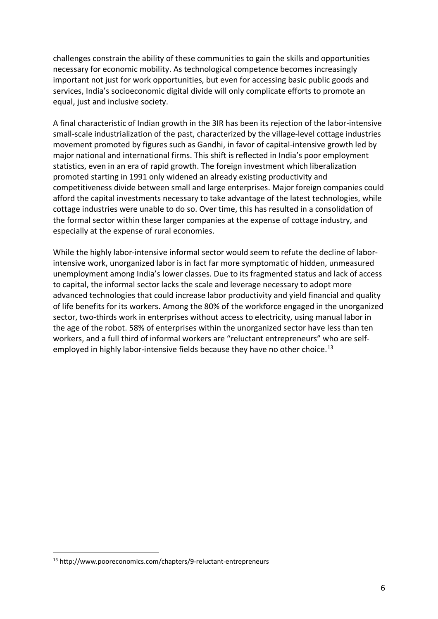challenges constrain the ability of these communities to gain the skills and opportunities necessary for economic mobility. As technological competence becomes increasingly important not just for work opportunities, but even for accessing basic public goods and services, India's socioeconomic digital divide will only complicate efforts to promote an equal, just and inclusive society.

A final characteristic of Indian growth in the 3IR has been its rejection of the labor-intensive small-scale industrialization of the past, characterized by the village-level cottage industries movement promoted by figures such as Gandhi, in favor of capital-intensive growth led by major national and international firms. This shift is reflected in India's poor employment statistics, even in an era of rapid growth. The foreign investment which liberalization promoted starting in 1991 only widened an already existing productivity and competitiveness divide between small and large enterprises. Major foreign companies could afford the capital investments necessary to take advantage of the latest technologies, while cottage industries were unable to do so. Over time, this has resulted in a consolidation of the formal sector within these larger companies at the expense of cottage industry, and especially at the expense of rural economies.

While the highly labor-intensive informal sector would seem to refute the decline of laborintensive work, unorganized labor is in fact far more symptomatic of hidden, unmeasured unemployment among India's lower classes. Due to its fragmented status and lack of access to capital, the informal sector lacks the scale and leverage necessary to adopt more advanced technologies that could increase labor productivity and yield financial and quality of life benefits for its workers. Among the 80% of the workforce engaged in the unorganized sector, two-thirds work in enterprises without access to electricity, using manual labor in the age of the robot. 58% of enterprises within the unorganized sector have less than ten workers, and a full third of informal workers are "reluctant entrepreneurs" who are selfemployed in highly labor-intensive fields because they have no other choice.<sup>13</sup>

 <sup>13</sup> http://www.pooreconomics.com/chapters/9-reluctant-entrepreneurs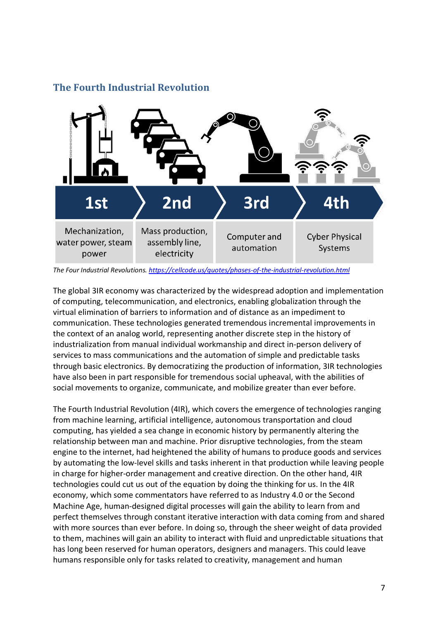

#### **The Fourth Industrial Revolution**

The global 3IR economy was characterized by the widespread adoption and implementation of computing, telecommunication, and electronics, enabling globalization through the virtual elimination of barriers to information and of distance as an impediment to communication. These technologies generated tremendous incremental improvements in the context of an analog world, representing another discrete step in the history of industrialization from manual individual workmanship and direct in-person delivery of services to mass communications and the automation of simple and predictable tasks through basic electronics. By democratizing the production of information, 3IR technologies have also been in part responsible for tremendous social upheaval, with the abilities of social movements to organize, communicate, and mobilize greater than ever before.

The Fourth Industrial Revolution (4IR), which covers the emergence of technologies ranging from machine learning, artificial intelligence, autonomous transportation and cloud computing, has yielded a sea change in economic history by permanently altering the relationship between man and machine. Prior disruptive technologies, from the steam engine to the internet, had heightened the ability of humans to produce goods and services by automating the low-level skills and tasks inherent in that production while leaving people in charge for higher-order management and creative direction. On the other hand, 4IR technologies could cut us out of the equation by doing the thinking for us. In the 4IR economy, which some commentators have referred to as Industry 4.0 or the Second Machine Age, human-designed digital processes will gain the ability to learn from and perfect themselves through constant iterative interaction with data coming from and shared with more sources than ever before. In doing so, through the sheer weight of data provided to them, machines will gain an ability to interact with fluid and unpredictable situations that has long been reserved for human operators, designers and managers. This could leave humans responsible only for tasks related to creativity, management and human

*The Four Industrial Revolutions. https://cellcode.us/quotes/phases-of-the-industrial-revolution.html*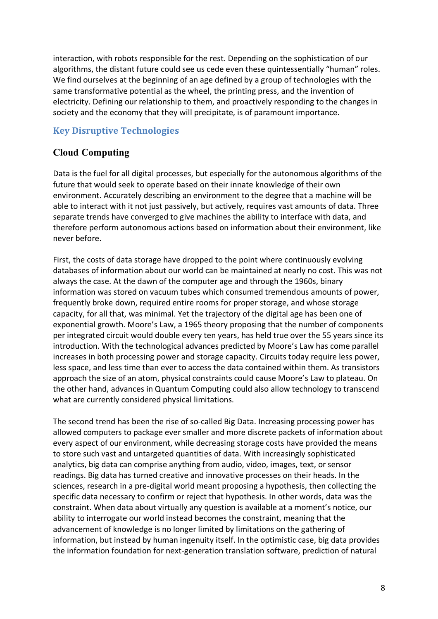interaction, with robots responsible for the rest. Depending on the sophistication of our algorithms, the distant future could see us cede even these quintessentially "human" roles. We find ourselves at the beginning of an age defined by a group of technologies with the same transformative potential as the wheel, the printing press, and the invention of electricity. Defining our relationship to them, and proactively responding to the changes in society and the economy that they will precipitate, is of paramount importance.

#### **Key Disruptive Technologies**

#### **Cloud Computing**

Data is the fuel for all digital processes, but especially for the autonomous algorithms of the future that would seek to operate based on their innate knowledge of their own environment. Accurately describing an environment to the degree that a machine will be able to interact with it not just passively, but actively, requires vast amounts of data. Three separate trends have converged to give machines the ability to interface with data, and therefore perform autonomous actions based on information about their environment, like never before.

First, the costs of data storage have dropped to the point where continuously evolving databases of information about our world can be maintained at nearly no cost. This was not always the case. At the dawn of the computer age and through the 1960s, binary information was stored on vacuum tubes which consumed tremendous amounts of power, frequently broke down, required entire rooms for proper storage, and whose storage capacity, for all that, was minimal. Yet the trajectory of the digital age has been one of exponential growth. Moore's Law, a 1965 theory proposing that the number of components per integrated circuit would double every ten years, has held true over the 55 years since its introduction. With the technological advances predicted by Moore's Law has come parallel increases in both processing power and storage capacity. Circuits today require less power, less space, and less time than ever to access the data contained within them. As transistors approach the size of an atom, physical constraints could cause Moore's Law to plateau. On the other hand, advances in Quantum Computing could also allow technology to transcend what are currently considered physical limitations.

The second trend has been the rise of so-called Big Data. Increasing processing power has allowed computers to package ever smaller and more discrete packets of information about every aspect of our environment, while decreasing storage costs have provided the means to store such vast and untargeted quantities of data. With increasingly sophisticated analytics, big data can comprise anything from audio, video, images, text, or sensor readings. Big data has turned creative and innovative processes on their heads. In the sciences, research in a pre-digital world meant proposing a hypothesis, then collecting the specific data necessary to confirm or reject that hypothesis. In other words, data was the constraint. When data about virtually any question is available at a moment's notice, our ability to interrogate our world instead becomes the constraint, meaning that the advancement of knowledge is no longer limited by limitations on the gathering of information, but instead by human ingenuity itself. In the optimistic case, big data provides the information foundation for next-generation translation software, prediction of natural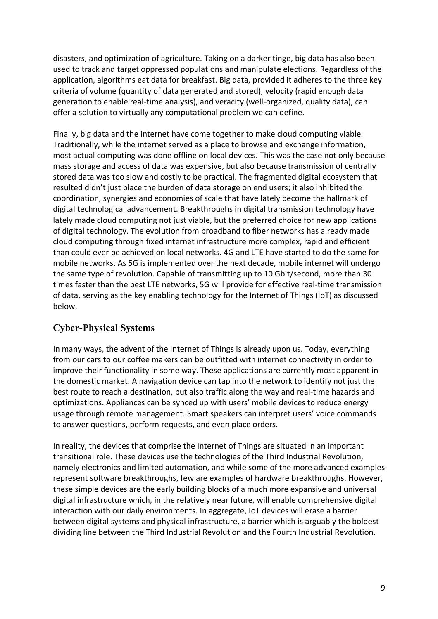disasters, and optimization of agriculture. Taking on a darker tinge, big data has also been used to track and target oppressed populations and manipulate elections. Regardless of the application, algorithms eat data for breakfast. Big data, provided it adheres to the three key criteria of volume (quantity of data generated and stored), velocity (rapid enough data generation to enable real-time analysis), and veracity (well-organized, quality data), can offer a solution to virtually any computational problem we can define.

Finally, big data and the internet have come together to make cloud computing viable. Traditionally, while the internet served as a place to browse and exchange information, most actual computing was done offline on local devices. This was the case not only because mass storage and access of data was expensive, but also because transmission of centrally stored data was too slow and costly to be practical. The fragmented digital ecosystem that resulted didn't just place the burden of data storage on end users; it also inhibited the coordination, synergies and economies of scale that have lately become the hallmark of digital technological advancement. Breakthroughs in digital transmission technology have lately made cloud computing not just viable, but the preferred choice for new applications of digital technology. The evolution from broadband to fiber networks has already made cloud computing through fixed internet infrastructure more complex, rapid and efficient than could ever be achieved on local networks. 4G and LTE have started to do the same for mobile networks. As 5G is implemented over the next decade, mobile internet will undergo the same type of revolution. Capable of transmitting up to 10 Gbit/second, more than 30 times faster than the best LTE networks, 5G will provide for effective real-time transmission of data, serving as the key enabling technology for the Internet of Things (IoT) as discussed below.

### **Cyber-Physical Systems**

In many ways, the advent of the Internet of Things is already upon us. Today, everything from our cars to our coffee makers can be outfitted with internet connectivity in order to improve their functionality in some way. These applications are currently most apparent in the domestic market. A navigation device can tap into the network to identify not just the best route to reach a destination, but also traffic along the way and real-time hazards and optimizations. Appliances can be synced up with users' mobile devices to reduce energy usage through remote management. Smart speakers can interpret users' voice commands to answer questions, perform requests, and even place orders.

In reality, the devices that comprise the Internet of Things are situated in an important transitional role. These devices use the technologies of the Third Industrial Revolution, namely electronics and limited automation, and while some of the more advanced examples represent software breakthroughs, few are examples of hardware breakthroughs. However, these simple devices are the early building blocks of a much more expansive and universal digital infrastructure which, in the relatively near future, will enable comprehensive digital interaction with our daily environments. In aggregate, IoT devices will erase a barrier between digital systems and physical infrastructure, a barrier which is arguably the boldest dividing line between the Third Industrial Revolution and the Fourth Industrial Revolution.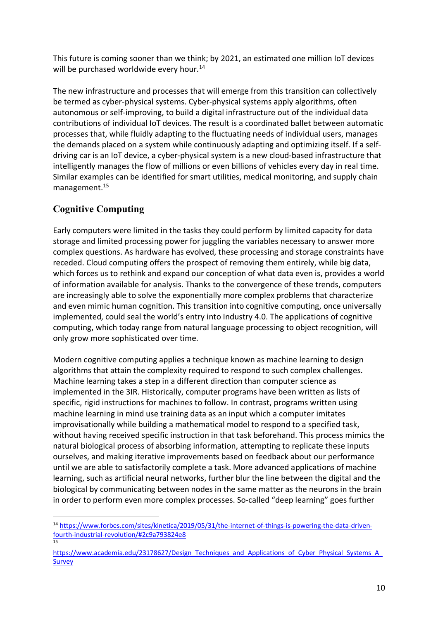This future is coming sooner than we think; by 2021, an estimated one million IoT devices will be purchased worldwide every hour.<sup>14</sup>

The new infrastructure and processes that will emerge from this transition can collectively be termed as cyber-physical systems. Cyber-physical systems apply algorithms, often autonomous or self-improving, to build a digital infrastructure out of the individual data contributions of individual IoT devices. The result is a coordinated ballet between automatic processes that, while fluidly adapting to the fluctuating needs of individual users, manages the demands placed on a system while continuously adapting and optimizing itself. If a selfdriving car is an IoT device, a cyber-physical system is a new cloud-based infrastructure that intelligently manages the flow of millions or even billions of vehicles every day in real time. Similar examples can be identified for smart utilities, medical monitoring, and supply chain management.15

## **Cognitive Computing**

Early computers were limited in the tasks they could perform by limited capacity for data storage and limited processing power for juggling the variables necessary to answer more complex questions. As hardware has evolved, these processing and storage constraints have receded. Cloud computing offers the prospect of removing them entirely, while big data, which forces us to rethink and expand our conception of what data even is, provides a world of information available for analysis. Thanks to the convergence of these trends, computers are increasingly able to solve the exponentially more complex problems that characterize and even mimic human cognition. This transition into cognitive computing, once universally implemented, could seal the world's entry into Industry 4.0. The applications of cognitive computing, which today range from natural language processing to object recognition, will only grow more sophisticated over time.

Modern cognitive computing applies a technique known as machine learning to design algorithms that attain the complexity required to respond to such complex challenges. Machine learning takes a step in a different direction than computer science as implemented in the 3IR. Historically, computer programs have been written as lists of specific, rigid instructions for machines to follow. In contrast, programs written using machine learning in mind use training data as an input which a computer imitates improvisationally while building a mathematical model to respond to a specified task, without having received specific instruction in that task beforehand. This process mimics the natural biological process of absorbing information, attempting to replicate these inputs ourselves, and making iterative improvements based on feedback about our performance until we are able to satisfactorily complete a task. More advanced applications of machine learning, such as artificial neural networks, further blur the line between the digital and the biological by communicating between nodes in the same matter as the neurons in the brain in order to perform even more complex processes. So-called "deep learning" goes further

 <sup>14</sup> https://www.forbes.com/sites/kinetica/2019/05/31/the-internet-of-things-is-powering-the-data-drivenfourth-industrial-revolution/#2c9a793824e8 15

https://www.academia.edu/23178627/Design\_Techniques\_and\_Applications\_of\_Cyber\_Physical\_Systems\_A **Survey**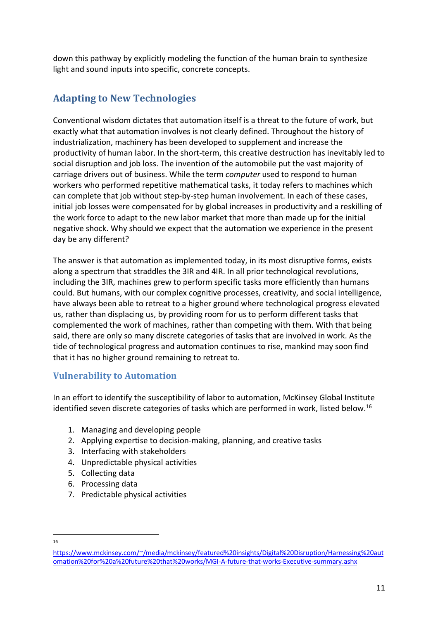down this pathway by explicitly modeling the function of the human brain to synthesize light and sound inputs into specific, concrete concepts.

## **Adapting to New Technologies**

Conventional wisdom dictates that automation itself is a threat to the future of work, but exactly what that automation involves is not clearly defined. Throughout the history of industrialization, machinery has been developed to supplement and increase the productivity of human labor. In the short-term, this creative destruction has inevitably led to social disruption and job loss. The invention of the automobile put the vast majority of carriage drivers out of business. While the term *computer* used to respond to human workers who performed repetitive mathematical tasks, it today refers to machines which can complete that job without step-by-step human involvement. In each of these cases, initial job losses were compensated for by global increases in productivity and a reskilling of the work force to adapt to the new labor market that more than made up for the initial negative shock. Why should we expect that the automation we experience in the present day be any different?

The answer is that automation as implemented today, in its most disruptive forms, exists along a spectrum that straddles the 3IR and 4IR. In all prior technological revolutions, including the 3IR, machines grew to perform specific tasks more efficiently than humans could. But humans, with our complex cognitive processes, creativity, and social intelligence, have always been able to retreat to a higher ground where technological progress elevated us, rather than displacing us, by providing room for us to perform different tasks that complemented the work of machines, rather than competing with them. With that being said, there are only so many discrete categories of tasks that are involved in work. As the tide of technological progress and automation continues to rise, mankind may soon find that it has no higher ground remaining to retreat to.

### **Vulnerability to Automation**

In an effort to identify the susceptibility of labor to automation, McKinsey Global Institute identified seven discrete categories of tasks which are performed in work, listed below.<sup>16</sup>

- 1. Managing and developing people
- 2. Applying expertise to decision-making, planning, and creative tasks
- 3. Interfacing with stakeholders
- 4. Unpredictable physical activities
- 5. Collecting data
- 6. Processing data
- 7. Predictable physical activities

16

https://www.mckinsey.com/~/media/mckinsey/featured%20insights/Digital%20Disruption/Harnessing%20aut omation%20for%20a%20future%20that%20works/MGI-A-future-that-works-Executive-summary.ashx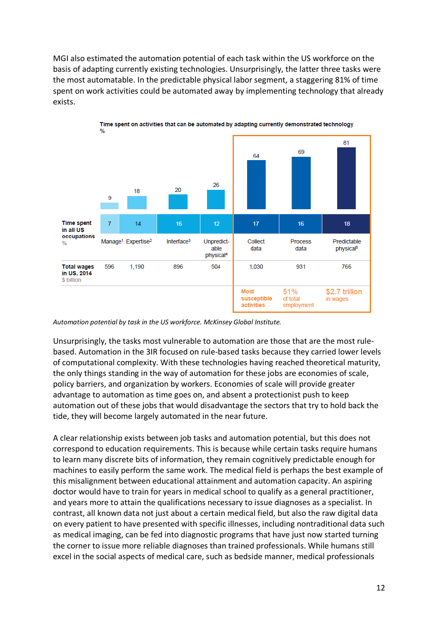MGI also estimated the automation potential of each task within the US workforce on the basis of adapting currently existing technologies. Unsurprisingly, the latter three tasks were the most automatable. In the predictable physical labor segment, a staggering 81% of time spent on work activities could be automated away by implementing technology that already exists.



*Automation potential by task in the US workforce. McKinsey Global Institute.*

Unsurprisingly, the tasks most vulnerable to automation are those that are the most rulebased. Automation in the 3IR focused on rule-based tasks because they carried lower levels of computational complexity. With these technologies having reached theoretical maturity, the only things standing in the way of automation for these jobs are economies of scale, policy barriers, and organization by workers. Economies of scale will provide greater advantage to automation as time goes on, and absent a protectionist push to keep automation out of these jobs that would disadvantage the sectors that try to hold back the tide, they will become largely automated in the near future.

A clear relationship exists between job tasks and automation potential, but this does not correspond to education requirements. This is because while certain tasks require humans to learn many discrete bits of information, they remain cognitively predictable enough for machines to easily perform the same work. The medical field is perhaps the best example of this misalignment between educational attainment and automation capacity. An aspiring doctor would have to train for years in medical school to qualify as a general practitioner, and years more to attain the qualifications necessary to issue diagnoses as a specialist. In contrast, all known data not just about a certain medical field, but also the raw digital data on every patient to have presented with specific illnesses, including nontraditional data such as medical imaging, can be fed into diagnostic programs that have just now started turning the corner to issue more reliable diagnoses than trained professionals. While humans still excel in the social aspects of medical care, such as bedside manner, medical professionals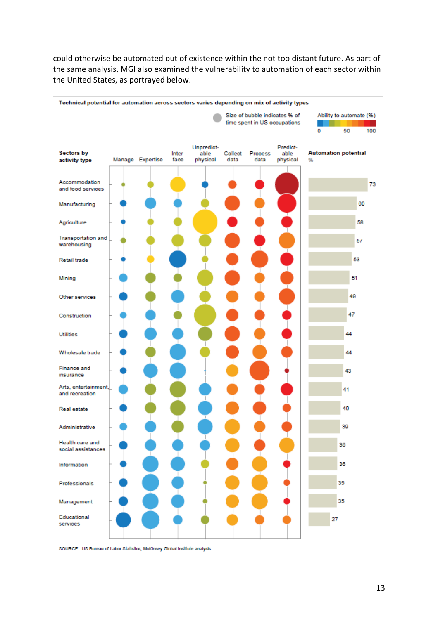could otherwise be automated out of existence within the not too distant future. As part of the same analysis, MGI also examined the vulnerability to automation of each sector within the United States, as portrayed below.



SOURCE: US Bureau of Labor Statistics; McKinsey Global Institute analysis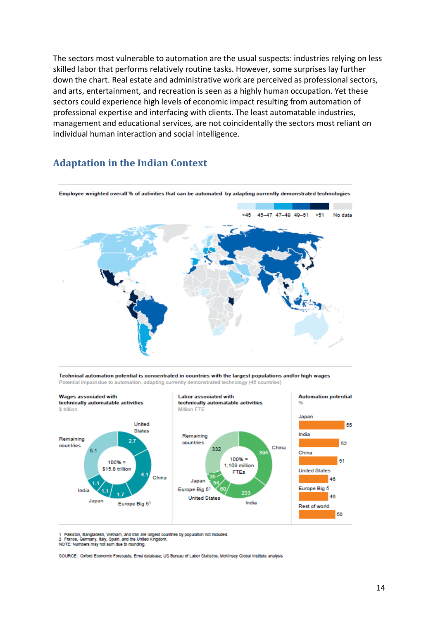The sectors most vulnerable to automation are the usual suspects: industries relying on less skilled labor that performs relatively routine tasks. However, some surprises lay further down the chart. Real estate and administrative work are perceived as professional sectors, and arts, entertainment, and recreation is seen as a highly human occupation. Yet these sectors could experience high levels of economic impact resulting from automation of professional expertise and interfacing with clients. The least automatable industries, management and educational services, are not coincidentally the sectors most reliant on individual human interaction and social intelligence.

#### **Adaptation in the Indian Context**



Technical automation potential is concentrated in countries with the largest populations and/or high wages Potential impact due to automation, adapting currently demonstrated technology (46 countries)



1 Pakistan, Bangladesh, Vietnam, and Iran are largest countries by population not included.<br>2 France, Germany, Italy, Spain, and the United Kingdom.

NOTE: Numbers may not sum due to rounding.

SOURCE: Oxford Economic Forecasts: Emsi database: US Bureau of Labor Statistics: Mckinsey Global Institute analysis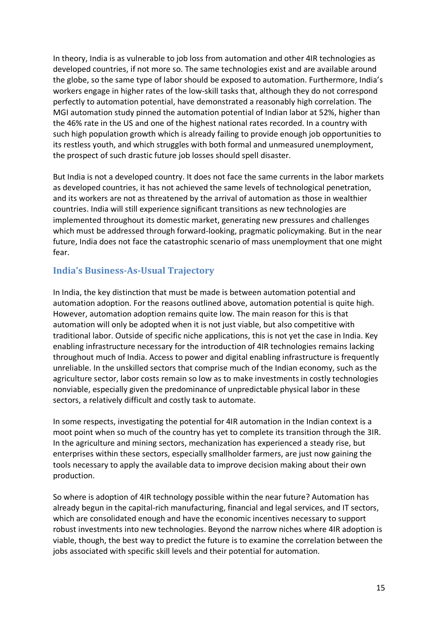In theory, India is as vulnerable to job loss from automation and other 4IR technologies as developed countries, if not more so. The same technologies exist and are available around the globe, so the same type of labor should be exposed to automation. Furthermore, India's workers engage in higher rates of the low-skill tasks that, although they do not correspond perfectly to automation potential, have demonstrated a reasonably high correlation. The MGI automation study pinned the automation potential of Indian labor at 52%, higher than the 46% rate in the US and one of the highest national rates recorded. In a country with such high population growth which is already failing to provide enough job opportunities to its restless youth, and which struggles with both formal and unmeasured unemployment, the prospect of such drastic future job losses should spell disaster.

But India is not a developed country. It does not face the same currents in the labor markets as developed countries, it has not achieved the same levels of technological penetration, and its workers are not as threatened by the arrival of automation as those in wealthier countries. India will still experience significant transitions as new technologies are implemented throughout its domestic market, generating new pressures and challenges which must be addressed through forward-looking, pragmatic policymaking. But in the near future, India does not face the catastrophic scenario of mass unemployment that one might fear.

#### **India's Business-As-Usual Trajectory**

In India, the key distinction that must be made is between automation potential and automation adoption. For the reasons outlined above, automation potential is quite high. However, automation adoption remains quite low. The main reason for this is that automation will only be adopted when it is not just viable, but also competitive with traditional labor. Outside of specific niche applications, this is not yet the case in India. Key enabling infrastructure necessary for the introduction of 4IR technologies remains lacking throughout much of India. Access to power and digital enabling infrastructure is frequently unreliable. In the unskilled sectors that comprise much of the Indian economy, such as the agriculture sector, labor costs remain so low as to make investments in costly technologies nonviable, especially given the predominance of unpredictable physical labor in these sectors, a relatively difficult and costly task to automate.

In some respects, investigating the potential for 4IR automation in the Indian context is a moot point when so much of the country has yet to complete its transition through the 3IR. In the agriculture and mining sectors, mechanization has experienced a steady rise, but enterprises within these sectors, especially smallholder farmers, are just now gaining the tools necessary to apply the available data to improve decision making about their own production.

So where is adoption of 4IR technology possible within the near future? Automation has already begun in the capital-rich manufacturing, financial and legal services, and IT sectors, which are consolidated enough and have the economic incentives necessary to support robust investments into new technologies. Beyond the narrow niches where 4IR adoption is viable, though, the best way to predict the future is to examine the correlation between the jobs associated with specific skill levels and their potential for automation.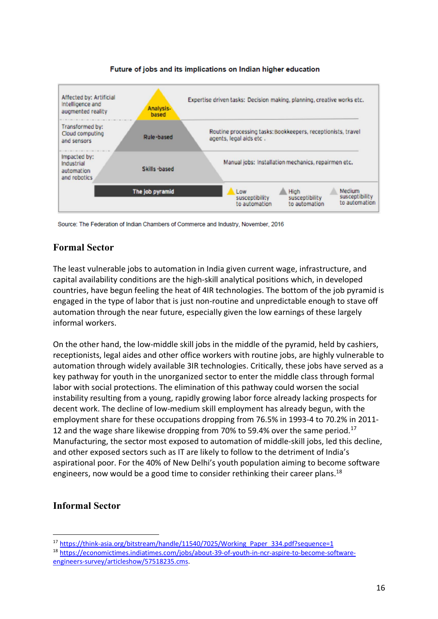

#### Future of jobs and its implications on Indian higher education

Source: The Federation of Indian Chambers of Commerce and Industry, November, 2016

#### **Formal Sector**

The least vulnerable jobs to automation in India given current wage, infrastructure, and capital availability conditions are the high-skill analytical positions which, in developed countries, have begun feeling the heat of 4IR technologies. The bottom of the job pyramid is engaged in the type of labor that is just non-routine and unpredictable enough to stave off automation through the near future, especially given the low earnings of these largely informal workers.

On the other hand, the low-middle skill jobs in the middle of the pyramid, held by cashiers, receptionists, legal aides and other office workers with routine jobs, are highly vulnerable to automation through widely available 3IR technologies. Critically, these jobs have served as a key pathway for youth in the unorganized sector to enter the middle class through formal labor with social protections. The elimination of this pathway could worsen the social instability resulting from a young, rapidly growing labor force already lacking prospects for decent work. The decline of low-medium skill employment has already begun, with the employment share for these occupations dropping from 76.5% in 1993-4 to 70.2% in 2011- 12 and the wage share likewise dropping from 70% to 59.4% over the same period.<sup>17</sup> Manufacturing, the sector most exposed to automation of middle-skill jobs, led this decline, and other exposed sectors such as IT are likely to follow to the detriment of India's aspirational poor. For the 40% of New Delhi's youth population aiming to become software engineers, now would be a good time to consider rethinking their career plans.<sup>18</sup>

#### **Informal Sector**

 <sup>17</sup> https://think-asia.org/bitstream/handle/11540/7025/Working\_Paper\_334.pdf?sequence=1

<sup>18</sup> https://economictimes.indiatimes.com/jobs/about-39-of-youth-in-ncr-aspire-to-become-softwareengineers-survey/articleshow/57518235.cms.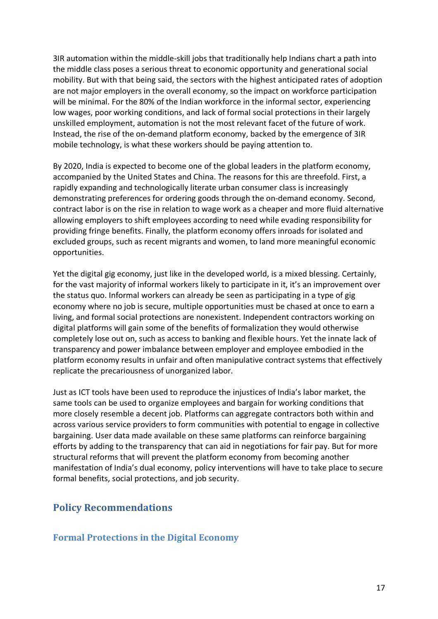3IR automation within the middle-skill jobs that traditionally help Indians chart a path into the middle class poses a serious threat to economic opportunity and generational social mobility. But with that being said, the sectors with the highest anticipated rates of adoption are not major employers in the overall economy, so the impact on workforce participation will be minimal. For the 80% of the Indian workforce in the informal sector, experiencing low wages, poor working conditions, and lack of formal social protections in their largely unskilled employment, automation is not the most relevant facet of the future of work. Instead, the rise of the on-demand platform economy, backed by the emergence of 3IR mobile technology, is what these workers should be paying attention to.

By 2020, India is expected to become one of the global leaders in the platform economy, accompanied by the United States and China. The reasons for this are threefold. First, a rapidly expanding and technologically literate urban consumer class is increasingly demonstrating preferences for ordering goods through the on-demand economy. Second, contract labor is on the rise in relation to wage work as a cheaper and more fluid alternative allowing employers to shift employees according to need while evading responsibility for providing fringe benefits. Finally, the platform economy offers inroads for isolated and excluded groups, such as recent migrants and women, to land more meaningful economic opportunities.

Yet the digital gig economy, just like in the developed world, is a mixed blessing. Certainly, for the vast majority of informal workers likely to participate in it, it's an improvement over the status quo. Informal workers can already be seen as participating in a type of gig economy where no job is secure, multiple opportunities must be chased at once to earn a living, and formal social protections are nonexistent. Independent contractors working on digital platforms will gain some of the benefits of formalization they would otherwise completely lose out on, such as access to banking and flexible hours. Yet the innate lack of transparency and power imbalance between employer and employee embodied in the platform economy results in unfair and often manipulative contract systems that effectively replicate the precariousness of unorganized labor.

Just as ICT tools have been used to reproduce the injustices of India's labor market, the same tools can be used to organize employees and bargain for working conditions that more closely resemble a decent job. Platforms can aggregate contractors both within and across various service providers to form communities with potential to engage in collective bargaining. User data made available on these same platforms can reinforce bargaining efforts by adding to the transparency that can aid in negotiations for fair pay. But for more structural reforms that will prevent the platform economy from becoming another manifestation of India's dual economy, policy interventions will have to take place to secure formal benefits, social protections, and job security.

#### **Policy Recommendations**

#### **Formal Protections in the Digital Economy**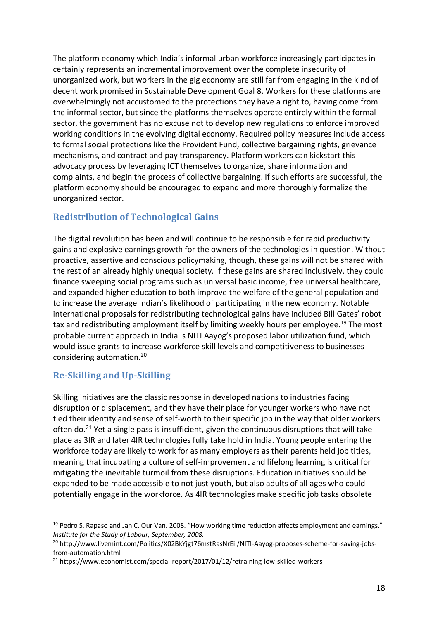The platform economy which India's informal urban workforce increasingly participates in certainly represents an incremental improvement over the complete insecurity of unorganized work, but workers in the gig economy are still far from engaging in the kind of decent work promised in Sustainable Development Goal 8. Workers for these platforms are overwhelmingly not accustomed to the protections they have a right to, having come from the informal sector, but since the platforms themselves operate entirely within the formal sector, the government has no excuse not to develop new regulations to enforce improved working conditions in the evolving digital economy. Required policy measures include access to formal social protections like the Provident Fund, collective bargaining rights, grievance mechanisms, and contract and pay transparency. Platform workers can kickstart this advocacy process by leveraging ICT themselves to organize, share information and complaints, and begin the process of collective bargaining. If such efforts are successful, the platform economy should be encouraged to expand and more thoroughly formalize the unorganized sector.

### **Redistribution of Technological Gains**

The digital revolution has been and will continue to be responsible for rapid productivity gains and explosive earnings growth for the owners of the technologies in question. Without proactive, assertive and conscious policymaking, though, these gains will not be shared with the rest of an already highly unequal society. If these gains are shared inclusively, they could finance sweeping social programs such as universal basic income, free universal healthcare, and expanded higher education to both improve the welfare of the general population and to increase the average Indian's likelihood of participating in the new economy. Notable international proposals for redistributing technological gains have included Bill Gates' robot tax and redistributing employment itself by limiting weekly hours per employee.<sup>19</sup> The most probable current approach in India is NITI Aayog's proposed labor utilization fund, which would issue grants to increase workforce skill levels and competitiveness to businesses considering automation.20

#### **Re-Skilling and Up-Skilling**

Skilling initiatives are the classic response in developed nations to industries facing disruption or displacement, and they have their place for younger workers who have not tied their identity and sense of self-worth to their specific job in the way that older workers often do.<sup>21</sup> Yet a single pass is insufficient, given the continuous disruptions that will take place as 3IR and later 4IR technologies fully take hold in India. Young people entering the workforce today are likely to work for as many employers as their parents held job titles, meaning that incubating a culture of self-improvement and lifelong learning is critical for mitigating the inevitable turmoil from these disruptions. Education initiatives should be expanded to be made accessible to not just youth, but also adults of all ages who could potentially engage in the workforce. As 4IR technologies make specific job tasks obsolete

<sup>&</sup>lt;sup>19</sup> Pedro S. Rapaso and Jan C. Our Van. 2008. "How working time reduction affects employment and earnings." *Institute for the Study of Labour, September, 2008.*

<sup>20</sup> http://www.livemint.com/Politics/X02BkYjgt76mstRasNrEiI/NITI-Aayog-proposes-scheme-for-saving-jobsfrom-automation.html

<sup>&</sup>lt;sup>21</sup> https://www.economist.com/special-report/2017/01/12/retraining-low-skilled-workers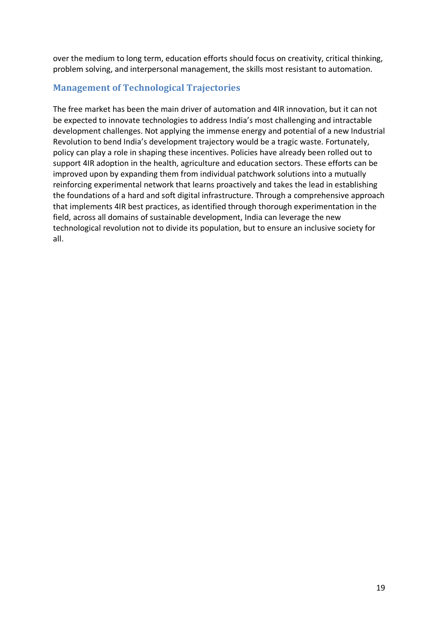over the medium to long term, education efforts should focus on creativity, critical thinking, problem solving, and interpersonal management, the skills most resistant to automation.

#### **Management of Technological Trajectories**

The free market has been the main driver of automation and 4IR innovation, but it can not be expected to innovate technologies to address India's most challenging and intractable development challenges. Not applying the immense energy and potential of a new Industrial Revolution to bend India's development trajectory would be a tragic waste. Fortunately, policy can play a role in shaping these incentives. Policies have already been rolled out to support 4IR adoption in the health, agriculture and education sectors. These efforts can be improved upon by expanding them from individual patchwork solutions into a mutually reinforcing experimental network that learns proactively and takes the lead in establishing the foundations of a hard and soft digital infrastructure. Through a comprehensive approach that implements 4IR best practices, as identified through thorough experimentation in the field, across all domains of sustainable development, India can leverage the new technological revolution not to divide its population, but to ensure an inclusive society for all.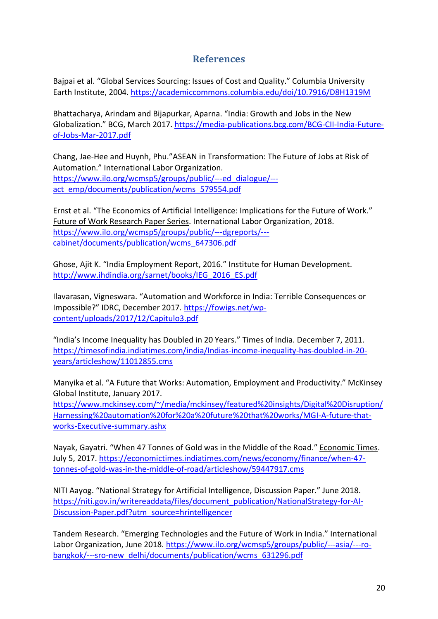## **References**

Bajpai et al. "Global Services Sourcing: Issues of Cost and Quality." Columbia University Earth Institute, 2004. https://academiccommons.columbia.edu/doi/10.7916/D8H1319M

Bhattacharya, Arindam and Bijapurkar, Aparna. "India: Growth and Jobs in the New Globalization." BCG, March 2017. https://media-publications.bcg.com/BCG-CII-India-Futureof-Jobs-Mar-2017.pdf

Chang, Jae-Hee and Huynh, Phu."ASEAN in Transformation: The Future of Jobs at Risk of Automation." International Labor Organization. https://www.ilo.org/wcmsp5/groups/public/---ed\_dialogue/-- act\_emp/documents/publication/wcms\_579554.pdf

Ernst et al. "The Economics of Artificial Intelligence: Implications for the Future of Work." Future of Work Research Paper Series. International Labor Organization, 2018. https://www.ilo.org/wcmsp5/groups/public/---dgreports/-- cabinet/documents/publication/wcms\_647306.pdf

Ghose, Ajit K. "India Employment Report, 2016." Institute for Human Development. http://www.ihdindia.org/sarnet/books/IEG\_2016\_ES.pdf

Ilavarasan, Vigneswara. "Automation and Workforce in India: Terrible Consequences or Impossible?" IDRC, December 2017. https://fowigs.net/wpcontent/uploads/2017/12/Capitulo3.pdf

"India's Income Inequality has Doubled in 20 Years." Times of India. December 7, 2011. https://timesofindia.indiatimes.com/india/Indias-income-inequality-has-doubled-in-20 years/articleshow/11012855.cms

Manyika et al. "A Future that Works: Automation, Employment and Productivity." McKinsey Global Institute, January 2017.

https://www.mckinsey.com/~/media/mckinsey/featured%20insights/Digital%20Disruption/ Harnessing%20automation%20for%20a%20future%20that%20works/MGI-A-future-thatworks-Executive-summary.ashx

Nayak, Gayatri. "When 47 Tonnes of Gold was in the Middle of the Road." Economic Times. July 5, 2017. https://economictimes.indiatimes.com/news/economy/finance/when-47 tonnes-of-gold-was-in-the-middle-of-road/articleshow/59447917.cms

NITI Aayog. "National Strategy for Artificial Intelligence, Discussion Paper." June 2018. https://niti.gov.in/writereaddata/files/document\_publication/NationalStrategy-for-AI-Discussion-Paper.pdf?utm\_source=hrintelligencer

Tandem Research. "Emerging Technologies and the Future of Work in India." International Labor Organization, June 2018. https://www.ilo.org/wcmsp5/groups/public/---asia/---robangkok/---sro-new\_delhi/documents/publication/wcms\_631296.pdf